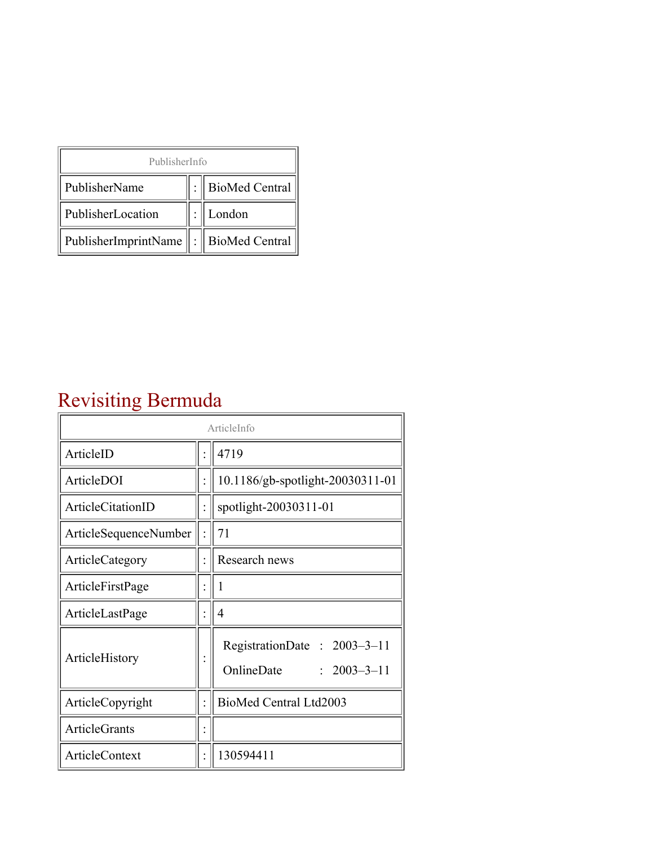| PublisherInfo                                   |  |                    |  |  |
|-------------------------------------------------|--|--------------------|--|--|
| PublisherName                                   |  | :   BioMed Central |  |  |
| PublisherLocation                               |  | London             |  |  |
| PublisherImprintName $\ \cdot\ $ BioMed Central |  |                    |  |  |

## Revisiting Bermuda

| ArticleInfo              |  |                                                                |
|--------------------------|--|----------------------------------------------------------------|
| ArticleID                |  | 4719                                                           |
| ArticleDOI               |  | 10.1186/gb-spotlight-20030311-01                               |
| <b>ArticleCitationID</b> |  | spotlight-20030311-01                                          |
| ArticleSequenceNumber    |  | 71                                                             |
| ArticleCategory          |  | Research news                                                  |
| ArticleFirstPage         |  | 1                                                              |
| ArticleLastPage          |  | $\overline{4}$                                                 |
| ArticleHistory           |  | RegistrationDate: 2003-3-11<br>OnlineDate<br>$: 2003 - 3 - 11$ |
| ArticleCopyright         |  | BioMed Central Ltd2003                                         |
| <b>ArticleGrants</b>     |  |                                                                |
| <b>ArticleContext</b>    |  | 130594411                                                      |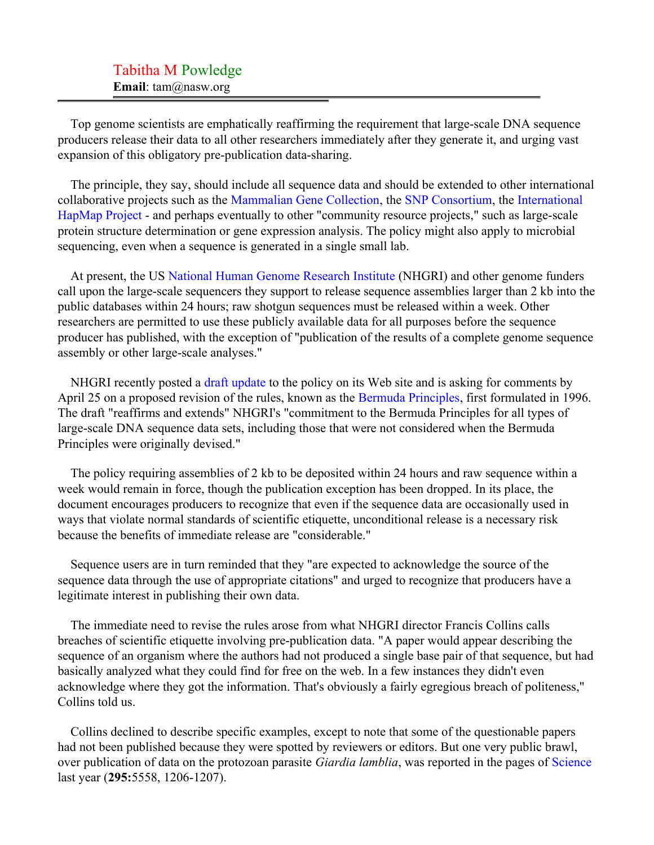Top genome scientists are emphatically reaffirming the requirement that large-scale DNA sequence producers release their data to all other researchers immediately after they generate it, and urging vast expansion of this obligatory pre-publication data-sharing.

The principle, they say, should include all sequence data and should be extended to other international collaborative projects such as the [Mammalian Gene Collection,](#page-3-0) the [SNP Consortium,](#page-3-1) the [International](#page-3-2) [HapMap Project](#page-3-2) - and perhaps eventually to other "community resource projects," such as large-scale protein structure determination or gene expression analysis. The policy might also apply to microbial sequencing, even when a sequence is generated in a single small lab.

At present, the US [National Human Genome Research Institute](#page-3-3) (NHGRI) and other genome funders call upon the large-scale sequencers they support to release sequence assemblies larger than 2 kb into the public databases within 24 hours; raw shotgun sequences must be released within a week. Other researchers are permitted to use these publicly available data for all purposes before the sequence producer has published, with the exception of "publication of the results of a complete genome sequence assembly or other large-scale analyses."

NHGRI recently posted a [draft update](#page-3-4) to the policy on its Web site and is asking for comments by April 25 on a proposed revision of the rules, known as the [Bermuda Principles,](#page-3-5) first formulated in 1996. The draft "reaffirms and extends" NHGRI's "commitment to the Bermuda Principles for all types of large-scale DNA sequence data sets, including those that were not considered when the Bermuda Principles were originally devised."

The policy requiring assemblies of 2 kb to be deposited within 24 hours and raw sequence within a week would remain in force, though the publication exception has been dropped. In its place, the document encourages producers to recognize that even if the sequence data are occasionally used in ways that violate normal standards of scientific etiquette, unconditional release is a necessary risk because the benefits of immediate release are "considerable."

Sequence users are in turn reminded that they "are expected to acknowledge the source of the sequence data through the use of appropriate citations" and urged to recognize that producers have a legitimate interest in publishing their own data.

The immediate need to revise the rules arose from what NHGRI director Francis Collins calls breaches of scientific etiquette involving pre-publication data. "A paper would appear describing the sequence of an organism where the authors had not produced a single base pair of that sequence, but had basically analyzed what they could find for free on the web. In a few instances they didn't even acknowledge where they got the information. That's obviously a fairly egregious breach of politeness," Collins told us.

Collins declined to describe specific examples, except to note that some of the questionable papers had not been published because they were spotted by reviewers or editors. But one very public brawl, over publication of data on the protozoan parasite *Giardia lamblia*, was reported in the pages of [Science](#page-3-6) last year (**295:**5558, 1206-1207).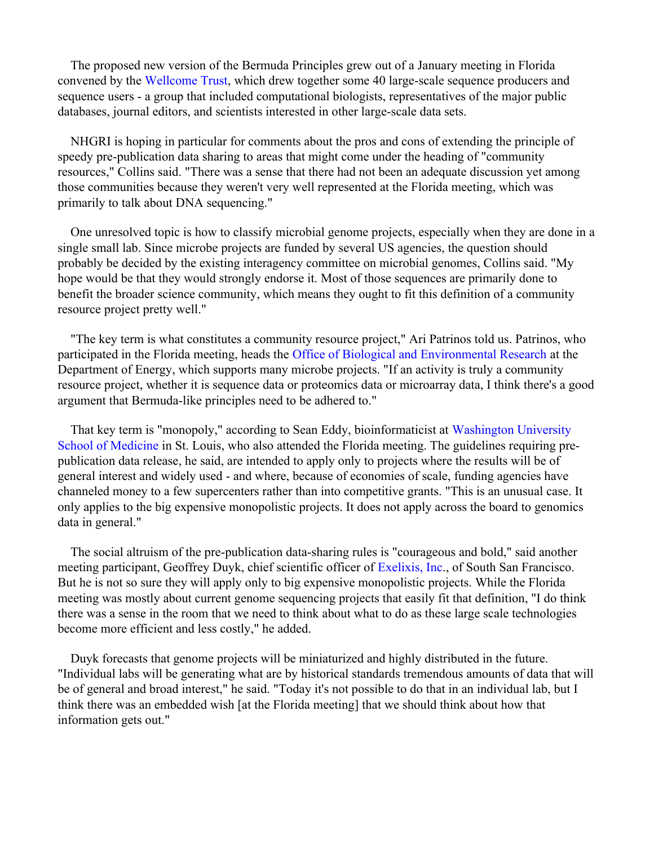The proposed new version of the Bermuda Principles grew out of a January meeting in Florida convened by the [Wellcome Trust](#page-3-7), which drew together some 40 large-scale sequence producers and sequence users - a group that included computational biologists, representatives of the major public databases, journal editors, and scientists interested in other large-scale data sets.

NHGRI is hoping in particular for comments about the pros and cons of extending the principle of speedy pre-publication data sharing to areas that might come under the heading of "community resources," Collins said. "There was a sense that there had not been an adequate discussion yet among those communities because they weren't very well represented at the Florida meeting, which was primarily to talk about DNA sequencing."

One unresolved topic is how to classify microbial genome projects, especially when they are done in a single small lab. Since microbe projects are funded by several US agencies, the question should probably be decided by the existing interagency committee on microbial genomes, Collins said. "My hope would be that they would strongly endorse it. Most of those sequences are primarily done to benefit the broader science community, which means they ought to fit this definition of a community resource project pretty well."

"The key term is what constitutes a community resource project," Ari Patrinos told us. Patrinos, who participated in the Florida meeting, heads the [Office of Biological and Environmental Research](#page-3-8) at the Department of Energy, which supports many microbe projects. "If an activity is truly a community resource project, whether it is sequence data or proteomics data or microarray data, I think there's a good argument that Bermuda-like principles need to be adhered to."

That key term is "monopoly," according to Sean Eddy, bioinformaticist at [Washington University](#page-3-9) [School of Medicine](#page-3-9) in St. Louis, who also attended the Florida meeting. The guidelines requiring prepublication data release, he said, are intended to apply only to projects where the results will be of general interest and widely used - and where, because of economies of scale, funding agencies have channeled money to a few supercenters rather than into competitive grants. "This is an unusual case. It only applies to the big expensive monopolistic projects. It does not apply across the board to genomics data in general."

The social altruism of the pre-publication data-sharing rules is "courageous and bold," said another meeting participant, Geoffrey Duyk, chief scientific officer of [Exelixis, Inc.](#page-3-10), of South San Francisco. But he is not so sure they will apply only to big expensive monopolistic projects. While the Florida meeting was mostly about current genome sequencing projects that easily fit that definition, "I do think there was a sense in the room that we need to think about what to do as these large scale technologies become more efficient and less costly," he added.

Duyk forecasts that genome projects will be miniaturized and highly distributed in the future. "Individual labs will be generating what are by historical standards tremendous amounts of data that will be of general and broad interest," he said. "Today it's not possible to do that in an individual lab, but I think there was an embedded wish [at the Florida meeting] that we should think about how that information gets out."